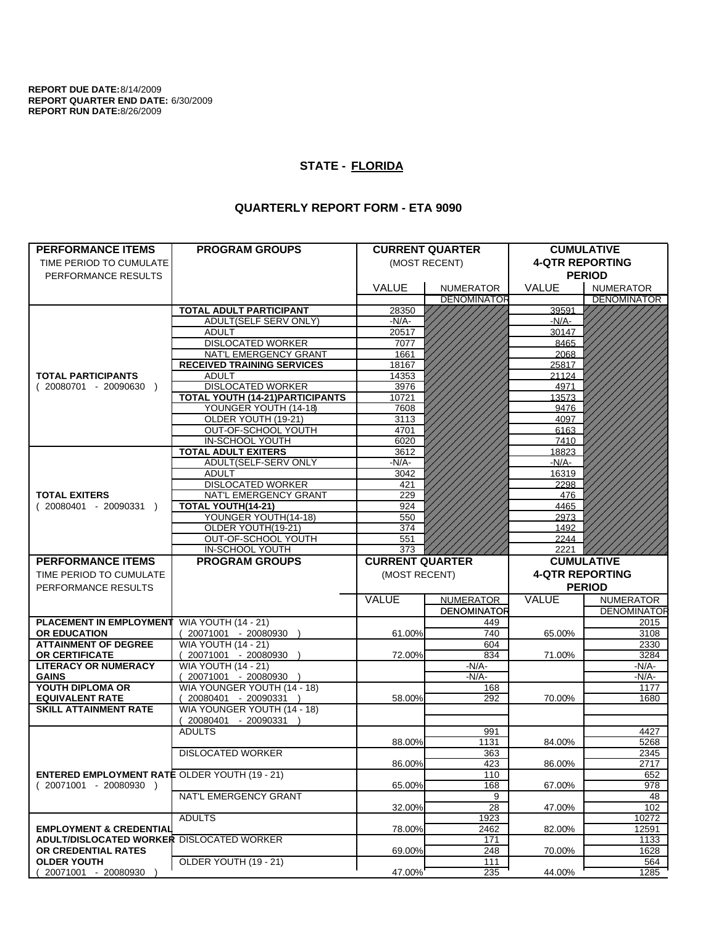**REPORT DUE DATE:**8/14/2009 **REPORT QUARTER END DATE:** 6/30/2009 **REPORT RUN DATE:**8/26/2009

## **STATE - FLORIDA**

## **QUARTERLY REPORT FORM - ETA 9090**

| <b>PERFORMANCE ITEMS</b>                             | <b>PROGRAM GROUPS</b>                                | <b>CURRENT QUARTER</b> |                                        | <b>CUMULATIVE</b>      |                                        |
|------------------------------------------------------|------------------------------------------------------|------------------------|----------------------------------------|------------------------|----------------------------------------|
| TIME PERIOD TO CUMULATE                              |                                                      | (MOST RECENT)          |                                        | <b>4-QTR REPORTING</b> |                                        |
|                                                      |                                                      |                        |                                        | <b>PERIOD</b>          |                                        |
| PERFORMANCE RESULTS                                  |                                                      |                        |                                        |                        |                                        |
|                                                      |                                                      | <b>VALUE</b>           | <b>NUMERATOR</b><br><b>DENOMINATOR</b> | <b>VALUE</b>           | <b>NUMERATOR</b><br><b>DENOMINATOR</b> |
|                                                      | <b>TOTAL ADULT PARTICIPANT</b>                       | 28350                  |                                        | 39591                  |                                        |
|                                                      | ADULT(SELF SERV ONLY)                                | -N/A-                  |                                        | $-N/A-$                |                                        |
|                                                      | <b>ADULT</b>                                         | 20517                  |                                        | 30147                  |                                        |
|                                                      | <b>DISLOCATED WORKER</b>                             | 7077                   |                                        | 8465                   |                                        |
|                                                      | NAT'L EMERGENCY GRANT                                | 1661                   |                                        | 2068                   |                                        |
|                                                      | <b>RECEIVED TRAINING SERVICES</b>                    | 18167                  |                                        | 25817                  |                                        |
| <b>TOTAL PARTICIPANTS</b>                            | <b>ADULT</b>                                         | 14353                  |                                        | 21124                  |                                        |
| $(20080701 - 20090630)$                              | <b>DISLOCATED WORKER</b>                             | 3976                   |                                        | 4971                   |                                        |
|                                                      | <b>TOTAL YOUTH (14-21)PARTICIPANTS</b>               | 10721                  |                                        | 13573                  |                                        |
|                                                      | YOUNGER YOUTH (14-18)                                | 7608                   |                                        | 9476                   |                                        |
|                                                      | OLDER YOUTH (19-21)                                  | 3113                   |                                        | 4097                   |                                        |
|                                                      | OUT-OF-SCHOOL YOUTH                                  | 4701                   |                                        | 6163                   |                                        |
|                                                      | IN-SCHOOL YOUTH                                      | 6020                   |                                        | 7410                   |                                        |
|                                                      | <b>TOTAL ADULT EXITERS</b>                           | 3612                   |                                        | 18823                  |                                        |
|                                                      | ADULT(SELF-SERV ONLY                                 | -N/A-                  |                                        | $-N/A$ -               |                                        |
|                                                      | <b>ADULT</b>                                         | 3042                   |                                        | 16319                  |                                        |
|                                                      | <b>DISLOCATED WORKER</b><br>NAT'L EMERGENCY GRANT    | 421                    |                                        | 2298                   |                                        |
| <b>TOTAL EXITERS</b><br>$(20080401 - 20090331)$      | TOTAL YOUTH(14-21)                                   | 229<br>924             |                                        | 476                    |                                        |
|                                                      | YOUNGER YOUTH(14-18)                                 | 550                    |                                        | 4465<br>2973           |                                        |
|                                                      | OLDER YOUTH(19-21)                                   | 374                    |                                        | 1492                   |                                        |
|                                                      | OUT-OF-SCHOOL YOUTH                                  | 551                    |                                        | 2244                   |                                        |
|                                                      | IN-SCHOOL YOUTH                                      | 373                    |                                        | 2221                   |                                        |
|                                                      |                                                      |                        |                                        |                        |                                        |
|                                                      |                                                      |                        |                                        |                        |                                        |
| <b>PERFORMANCE ITEMS</b>                             | <b>PROGRAM GROUPS</b>                                | <b>CURRENT QUARTER</b> |                                        |                        | <b>CUMULATIVE</b>                      |
| TIME PERIOD TO CUMULATE                              |                                                      | (MOST RECENT)          |                                        | <b>4-QTR REPORTING</b> |                                        |
| PERFORMANCE RESULTS                                  |                                                      |                        |                                        |                        | <b>PERIOD</b>                          |
|                                                      |                                                      | VALUE                  | <b>NUMERATOR</b>                       | VALUE                  | <b>NUMERATOR</b>                       |
|                                                      |                                                      |                        | <b>DENOMINATOR</b>                     |                        |                                        |
| <b>PLACEMENT IN EMPLOYMENT</b>                       | <b>WIA YOUTH (14 - 21)</b>                           |                        | 449                                    |                        | 2015                                   |
| <b>OR EDUCATION</b>                                  | 20071001 - 20080930                                  | 61.00%                 | 740                                    | 65.00%                 | 3108                                   |
| <b>ATTAINMENT OF DEGREE</b>                          | <b>WIA YOUTH (14 - 21)</b>                           |                        | 604                                    |                        | 2330                                   |
| OR CERTIFICATE                                       | 20071001 - 20080930 )                                | 72.00%                 | 834                                    | 71.00%                 | 3284                                   |
| <b>LITERACY OR NUMERACY</b><br><b>GAINS</b>          | <b>WIA YOUTH (14 - 21)</b>                           |                        | -N/A-<br>$-N/A$ -                      |                        | -N/A-<br>-N/A-                         |
| YOUTH DIPLOMA OR                                     | 20071001 - 20080930 )                                |                        | 168                                    |                        | 1177                                   |
| <b>EQUIVALENT RATE</b>                               | WIA YOUNGER YOUTH (14 - 18)<br>20080401 - 20090331 ) | 58.00%                 | 292                                    | 70.00%                 | 1680                                   |
| <b>SKILL ATTAINMENT RATE</b>                         | WIA YOUNGER YOUTH (14 - 18)                          |                        |                                        |                        |                                        |
|                                                      | (20080401 - 20090331                                 |                        |                                        |                        |                                        |
|                                                      | <b>ADULTS</b>                                        |                        | 991                                    |                        | <b>DENOMINATOR</b><br>4427             |
|                                                      |                                                      | 88.00%                 | 1131                                   | 84.00%                 | 5268                                   |
|                                                      | <b>DISLOCATED WORKER</b>                             |                        | 363                                    |                        | 2345                                   |
|                                                      |                                                      | 86.00%                 | 423                                    | 86.00%                 | 2717                                   |
| <b>ENTERED EMPLOYMENT RATE OLDER YOUTH (19 - 21)</b> |                                                      |                        | 110                                    |                        | 652                                    |
| $(20071001 - 20080930)$                              |                                                      | 65.00%                 | 168                                    | 67.00%                 | 978                                    |
|                                                      | NAT'L EMERGENCY GRANT                                |                        | 9                                      |                        | 48                                     |
|                                                      |                                                      | 32.00%                 | 28                                     | 47.00%                 | 102                                    |
|                                                      | <b>ADULTS</b>                                        |                        | 1923                                   |                        | 10272                                  |
| <b>EMPLOYMENT &amp; CREDENTIAL</b>                   |                                                      | 78.00%                 | 2462                                   | 82.00%                 | 12591                                  |
| <b>ADULT/DISLOCATED WORKER DISLOCATED WORKER</b>     |                                                      |                        | 171                                    |                        | 1133                                   |
| OR CREDENTIAL RATES<br><b>OLDER YOUTH</b>            | OLDER YOUTH (19 - 21)                                | 69.00%                 | 248<br>111                             | 70.00%                 | 1628<br>564                            |